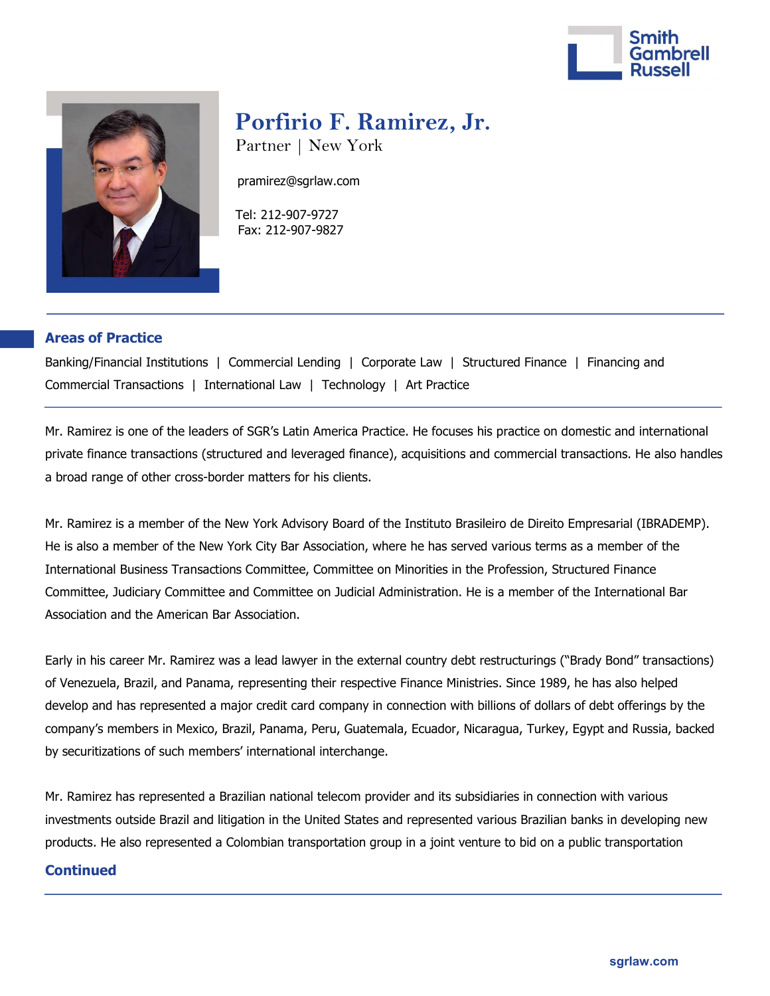



# Porfirio F. Ramirez, Jr.

Partner | New York

pramirez@sgrlaw.com

 Tel: 212-907-9727 Fax: 212-907-9827

### Areas of Practice

Banking/Financial Institutions | Commercial Lending | Corporate Law | Structured Finance | Financing and Commercial Transactions | International Law | Technology | Art Practice

Mr. Ramirez is one of the leaders of SGR's Latin America Practice. He focuses his practice on domestic and international private finance transactions (structured and leveraged finance), acquisitions and commercial transactions. He also handles a broad range of other cross-border matters for his clients.

Mr. Ramirez is a member of the New York Advisory Board of the Instituto Brasileiro de Direito Empresarial (IBRADEMP). He is also a member of the New York City Bar Association, where he has served various terms as a member of the International Business Transactions Committee, Committee on Minorities in the Profession, Structured Finance Committee, Judiciary Committee and Committee on Judicial Administration. He is a member of the International Bar Association and the American Bar Association.

Early in his career Mr. Ramirez was a lead lawyer in the external country debt restructurings ("Brady Bond" transactions) of Venezuela, Brazil, and Panama, representing their respective Finance Ministries. Since 1989, he has also helped develop and has represented a major credit card company in connection with billions of dollars of debt offerings by the company's members in Mexico, Brazil, Panama, Peru, Guatemala, Ecuador, Nicaragua, Turkey, Egypt and Russia, backed by securitizations of such members' international interchange.

Mr. Ramirez has represented a Brazilian national telecom provider and its subsidiaries in connection with various investments outside Brazil and litigation in the United States and represented various Brazilian banks in developing new products. He also represented a Colombian transportation group in a joint venture to bid on a public transportation

#### **Continued**